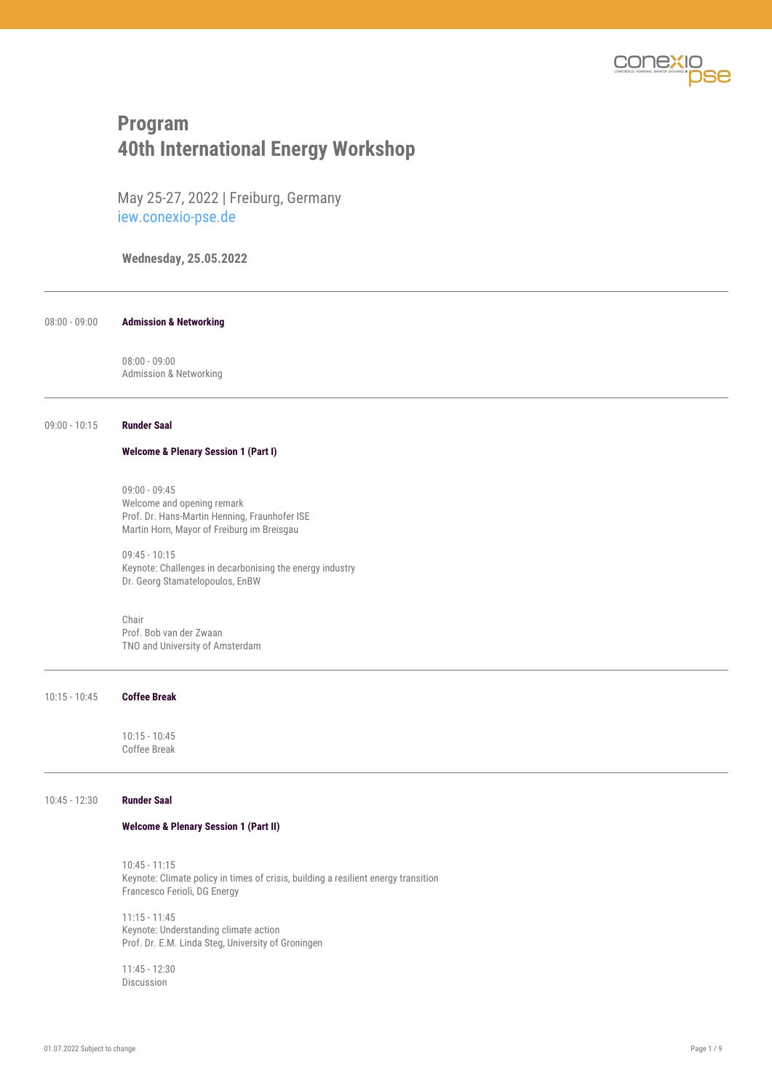

# **Program 40th International Energy Workshop**

May 25-27, 2022 | Freiburg, Germany iew.conexio-pse.de

**Wednesday, 25.05.2022**

08:00 - 09:00 **Admission & Networking**

08:00 - 09:00 Admission & Networking

## 09:00 - 10:15 **Runder Saal**

#### **Welcome & Plenary Session 1 (Part I)**

09:00 - 09:45 Welcome and opening remark Prof. Dr. Hans-Martin Henning, Fraunhofer ISE Martin Horn, Mayor of Freiburg im Breisgau

09:45 - 10:15 Keynote: Challenges in decarbonising the energy industry Dr. Georg Stamatelopoulos, EnBW

Chair Prof. Bob van der Zwaan TNO and University of Amsterdam

10:15 - 10:45 **Coffee Break**

10:15 - 10:45 Coffee Break

10:45 - 12:30 **Runder Saal**

#### **Welcome & Plenary Session 1 (Part II)**

10:45 - 11:15 Keynote: Climate policy in times of crisis, building a resilient energy transition Francesco Ferioli, DG Energy

11:15 - 11:45 Keynote: Understanding climate action Prof. Dr. E.M. Linda Steg, University of Groningen

11:45 - 12:30 Discussion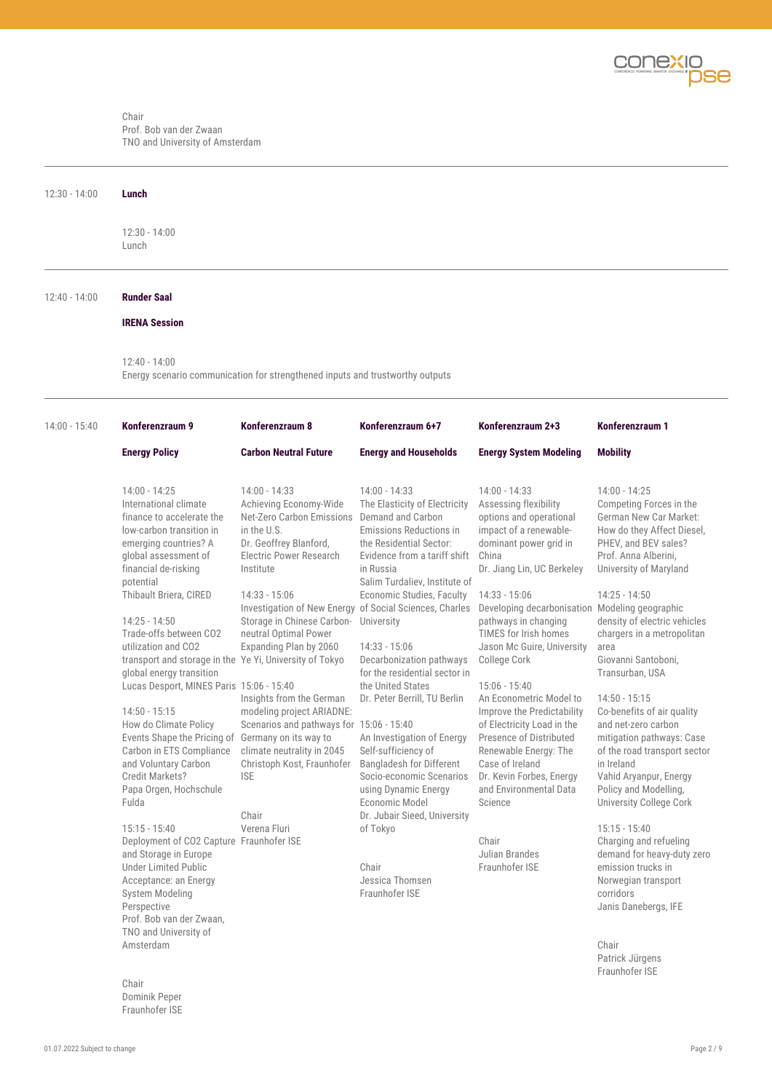

#### Chair Prof. Bob van der Zwaan TNO and University of Amsterdam

| $12:30 - 14:00$ | Lunch                                                                                                                                                                                                                                                                                 |                                                                                                                                                                                                                                                             |                                                                                                                                                                                                                                                                                                                                           |                                                                                                                                                                                                                                                                                              |                                                                                                                                                                                                                                                                                              |  |
|-----------------|---------------------------------------------------------------------------------------------------------------------------------------------------------------------------------------------------------------------------------------------------------------------------------------|-------------------------------------------------------------------------------------------------------------------------------------------------------------------------------------------------------------------------------------------------------------|-------------------------------------------------------------------------------------------------------------------------------------------------------------------------------------------------------------------------------------------------------------------------------------------------------------------------------------------|----------------------------------------------------------------------------------------------------------------------------------------------------------------------------------------------------------------------------------------------------------------------------------------------|----------------------------------------------------------------------------------------------------------------------------------------------------------------------------------------------------------------------------------------------------------------------------------------------|--|
|                 | $12:30 - 14:00$<br>Lunch                                                                                                                                                                                                                                                              |                                                                                                                                                                                                                                                             |                                                                                                                                                                                                                                                                                                                                           |                                                                                                                                                                                                                                                                                              |                                                                                                                                                                                                                                                                                              |  |
| $12:40 - 14:00$ | <b>Runder Saal</b>                                                                                                                                                                                                                                                                    |                                                                                                                                                                                                                                                             |                                                                                                                                                                                                                                                                                                                                           |                                                                                                                                                                                                                                                                                              |                                                                                                                                                                                                                                                                                              |  |
|                 | <b>IRENA Session</b>                                                                                                                                                                                                                                                                  |                                                                                                                                                                                                                                                             |                                                                                                                                                                                                                                                                                                                                           |                                                                                                                                                                                                                                                                                              |                                                                                                                                                                                                                                                                                              |  |
|                 | $12:40 - 14:00$<br>Energy scenario communication for strengthened inputs and trustworthy outputs                                                                                                                                                                                      |                                                                                                                                                                                                                                                             |                                                                                                                                                                                                                                                                                                                                           |                                                                                                                                                                                                                                                                                              |                                                                                                                                                                                                                                                                                              |  |
| $14:00 - 15:40$ | Konferenzraum 9                                                                                                                                                                                                                                                                       | Konferenzraum 8                                                                                                                                                                                                                                             | Konferenzraum 6+7                                                                                                                                                                                                                                                                                                                         | Konferenzraum 2+3                                                                                                                                                                                                                                                                            | Konferenzraum 1                                                                                                                                                                                                                                                                              |  |
|                 | <b>Energy Policy</b>                                                                                                                                                                                                                                                                  | <b>Carbon Neutral Future</b>                                                                                                                                                                                                                                | <b>Energy and Households</b>                                                                                                                                                                                                                                                                                                              | <b>Energy System Modeling</b>                                                                                                                                                                                                                                                                | <b>Mobility</b>                                                                                                                                                                                                                                                                              |  |
|                 | $14:00 - 14:25$<br>International climate<br>finance to accelerate the<br>low-carbon transition in<br>emerging countries? A<br>global assessment of<br>financial de-risking<br>potential<br>Thibault Briera, CIRED<br>$14:25 - 14:50$<br>Trade-offs between CO2<br>utilization and CO2 | $14:00 - 14:33$<br>Achieving Economy-Wide<br>Net-Zero Carbon Emissions<br>in the U.S.<br>Dr. Geoffrey Blanford,<br>Electric Power Research<br>Institute<br>$14:33 - 15:06$<br>Storage in Chinese Carbon-<br>neutral Optimal Power<br>Expanding Plan by 2060 | $14:00 - 14:33$<br>The Elasticity of Electricity<br>Demand and Carbon<br><b>Emissions Reductions in</b><br>the Residential Sector:<br>Evidence from a tariff shift<br>in Russia<br>Salim Turdaliev, Institute of<br>Economic Studies, Faculty<br>Investigation of New Energy of Social Sciences, Charles<br>University<br>$14:33 - 15:06$ | $14:00 - 14:33$<br>Assessing flexibility<br>options and operational<br>impact of a renewable-<br>dominant power grid in<br>China<br>Dr. Jiang Lin, UC Berkeley<br>14:33 - 15:06<br>Developing decarbonisation<br>pathways in changing<br>TIMES for Irish homes<br>Jason Mc Guire, University | $14:00 - 14:25$<br>Competing Forces in the<br>German New Car Market:<br>How do they Affect Diesel,<br>PHEV, and BEV sales?<br>Prof. Anna Alberini.<br>University of Maryland<br>$14:25 - 14:50$<br>Modeling geographic<br>density of electric vehicles<br>chargers in a metropolitan<br>area |  |

transport and storage in the global energy transition Lucas Desport, MINES Paris 15:06 - 15:40 14:50 - 15:15 How do Climate Policy

Events Shape the Pricing of Germany on its way to Carbon in ETS Compliance and Voluntary Carbon Credit Markets? Papa Orgen, Hochschule Fulda

15:15 - 15:40 Deployment of CO2 Capture Fraunhofer ISE and Storage in Europe Under Limited Public Acceptance: an Energy System Modeling Perspective Prof. Bob van der Zwaan, TNO and University of Amsterdam Verena Fluri

Chair Dominik Peper Fraunhofer ISE

Ye Yi, University of Tokyo Insights from the German modeling project ARIADNE: 14:33 - 15:06 Decarbonization pathways College Cork for the residential sector in the United States Dr. Peter Berrill, TU Berlin

climate neutrality in 2045 Christoph Kost, Fraunhofer

ISE

Chair

Scenarios and pathways for 15:06 - 15:40 An Investigation of Energy Self-sufficiency of Bangladesh for Different Socio-economic Scenarios Dr. Kevin Forbes, Energy using Dynamic Energy Economic Model Dr. Jubair Sieed, University of Tokyo

> Chair Jessica Thomsen Fraunhofer ISE

15:06 - 15:40 An Econometric Model to Improve the Predictability of Electricity Load in the Presence of Distributed Renewable Energy: The Case of Ireland and Environmental Data Science

Chair Julian Brandes Fraunhofer ISE

Giovanni Santoboni, Transurban, USA

14:50 - 15:15 Co-benefits of air quality and net-zero carbon mitigation pathways: Case of the road transport sector in Ireland Vahid Aryanpur, Energy Policy and Modelling, University College Cork

15:15 - 15:40 Charging and refueling demand for heavy-duty zero emission trucks in Norwegian transport corridors Janis Danebergs, IFE

Chair Patrick Jürgens Fraunhofer ISE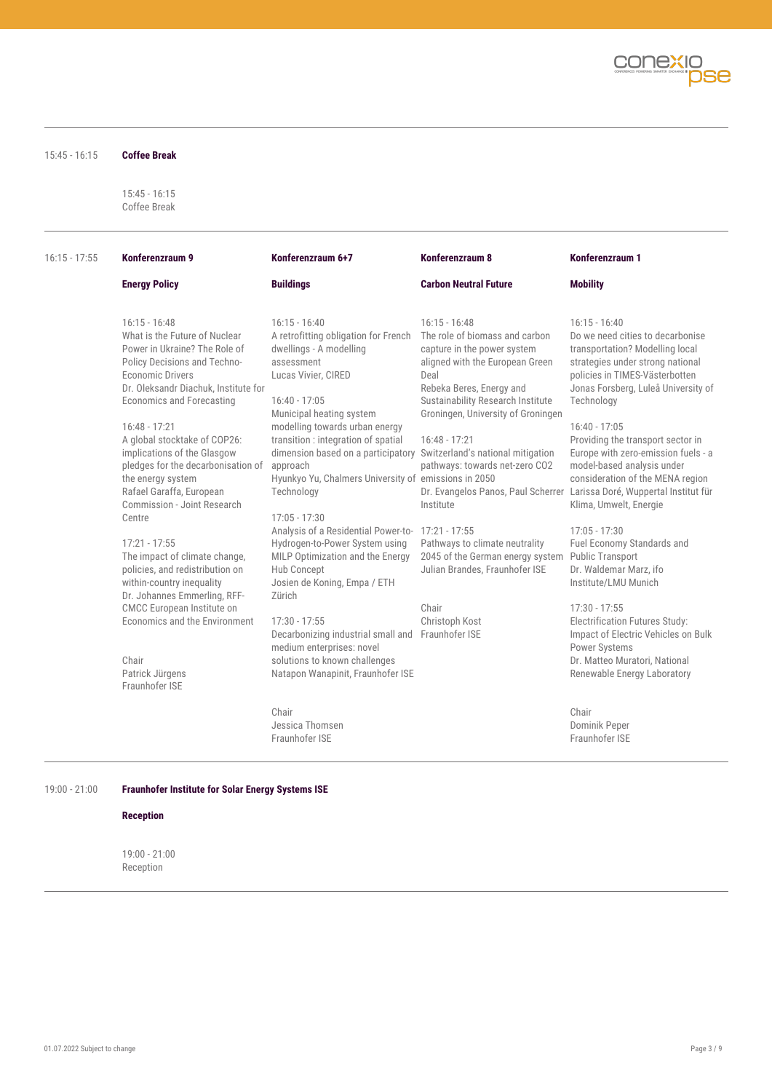

| $15:45 - 16:15$ | <b>Coffee Break</b>                                                                                                                                                                                                                                                                                                                                                                                                                                                                                                                                                                                                                                                                                         |                                                                                                                                                                                                                                                                                                                                                                                                                                                                                                                                                                                                                                                                                                                                                                                                                            |                                                                                                                                                                                                                                                                                                                                                                                                       |                                                                                                                                                                                                                                                                                                                                                                                                                                                                                                                                                                                                                                                                                                                                                                                                           |
|-----------------|-------------------------------------------------------------------------------------------------------------------------------------------------------------------------------------------------------------------------------------------------------------------------------------------------------------------------------------------------------------------------------------------------------------------------------------------------------------------------------------------------------------------------------------------------------------------------------------------------------------------------------------------------------------------------------------------------------------|----------------------------------------------------------------------------------------------------------------------------------------------------------------------------------------------------------------------------------------------------------------------------------------------------------------------------------------------------------------------------------------------------------------------------------------------------------------------------------------------------------------------------------------------------------------------------------------------------------------------------------------------------------------------------------------------------------------------------------------------------------------------------------------------------------------------------|-------------------------------------------------------------------------------------------------------------------------------------------------------------------------------------------------------------------------------------------------------------------------------------------------------------------------------------------------------------------------------------------------------|-----------------------------------------------------------------------------------------------------------------------------------------------------------------------------------------------------------------------------------------------------------------------------------------------------------------------------------------------------------------------------------------------------------------------------------------------------------------------------------------------------------------------------------------------------------------------------------------------------------------------------------------------------------------------------------------------------------------------------------------------------------------------------------------------------------|
|                 | $15:45 - 16:15$<br>Coffee Break                                                                                                                                                                                                                                                                                                                                                                                                                                                                                                                                                                                                                                                                             |                                                                                                                                                                                                                                                                                                                                                                                                                                                                                                                                                                                                                                                                                                                                                                                                                            |                                                                                                                                                                                                                                                                                                                                                                                                       |                                                                                                                                                                                                                                                                                                                                                                                                                                                                                                                                                                                                                                                                                                                                                                                                           |
| $16:15 - 17:55$ | Konferenzraum 9                                                                                                                                                                                                                                                                                                                                                                                                                                                                                                                                                                                                                                                                                             | Konferenzraum 6+7                                                                                                                                                                                                                                                                                                                                                                                                                                                                                                                                                                                                                                                                                                                                                                                                          | Konferenzraum 8                                                                                                                                                                                                                                                                                                                                                                                       | Konferenzraum 1                                                                                                                                                                                                                                                                                                                                                                                                                                                                                                                                                                                                                                                                                                                                                                                           |
|                 | <b>Energy Policy</b>                                                                                                                                                                                                                                                                                                                                                                                                                                                                                                                                                                                                                                                                                        | <b>Buildings</b>                                                                                                                                                                                                                                                                                                                                                                                                                                                                                                                                                                                                                                                                                                                                                                                                           | <b>Carbon Neutral Future</b>                                                                                                                                                                                                                                                                                                                                                                          | <b>Mobility</b>                                                                                                                                                                                                                                                                                                                                                                                                                                                                                                                                                                                                                                                                                                                                                                                           |
|                 | $16:15 - 16:48$<br>What is the Future of Nuclear<br>Power in Ukraine? The Role of<br>Policy Decisions and Techno-<br><b>Economic Drivers</b><br>Dr. Oleksandr Diachuk, Institute for<br>Economics and Forecasting<br>$16:48 - 17:21$<br>A global stocktake of COP26:<br>implications of the Glasgow<br>pledges for the decarbonisation of<br>the energy system<br>Rafael Garaffa, European<br>Commission - Joint Research<br>Centre<br>$17:21 - 17:55$<br>The impact of climate change,<br>policies, and redistribution on<br>within-country inequality<br>Dr. Johannes Emmerling, RFF-<br><b>CMCC</b> European Institute on<br>Economics and the Environment<br>Chair<br>Patrick Jürgens<br>Fraunhofer ISF | $16:15 - 16:40$<br>A retrofitting obligation for French The role of biomass and carbon<br>dwellings - A modelling<br>assessment<br>Lucas Vivier, CIRED<br>$16:40 - 17:05$<br>Municipal heating system<br>modelling towards urban energy<br>transition : integration of spatial<br>dimension based on a participatory Switzerland's national mitigation<br>approach<br>Hyunkyo Yu, Chalmers University of emissions in 2050<br>Technology<br>$17:05 - 17:30$<br>Analysis of a Residential Power-to- 17:21 - 17:55<br>Hydrogen-to-Power System using<br>MILP Optimization and the Energy<br>Hub Concept<br>Josien de Koning, Empa / ETH<br>Zürich<br>$17:30 - 17:55$<br>Decarbonizing industrial small and Fraunhofer ISE<br>medium enterprises: novel<br>solutions to known challenges<br>Natapon Wanapinit, Fraunhofer ISE | $16:15 - 16:48$<br>capture in the power system<br>aligned with the European Green<br>Deal<br>Rebeka Beres, Energy and<br>Sustainability Research Institute<br>Groningen, University of Groningen<br>$16:48 - 17:21$<br>pathways: towards net-zero CO2<br>Institute<br>Pathways to climate neutrality<br>2045 of the German energy system<br>Julian Brandes, Fraunhofer ISE<br>Chair<br>Christoph Kost | $16:15 - 16:40$<br>Do we need cities to decarbonise<br>transportation? Modelling local<br>strategies under strong national<br>policies in TIMES-Västerbotten<br>Jonas Forsberg, Luleå University of<br>Technology<br>$16:40 - 17:05$<br>Providing the transport sector in<br>Europe with zero-emission fuels - a<br>model-based analysis under<br>consideration of the MENA region<br>Dr. Evangelos Panos, Paul Scherrer Larissa Doré, Wuppertal Institut für<br>Klima, Umwelt, Energie<br>$17:05 - 17:30$<br>Fuel Economy Standards and<br>Public Transport<br>Dr. Waldemar Marz, ifo<br>Institute/LMU Munich<br>$17:30 - 17:55$<br><b>Electrification Futures Study:</b><br>Impact of Electric Vehicles on Bulk<br><b>Power Systems</b><br>Dr. Matteo Muratori, National<br>Renewable Energy Laboratory |
|                 |                                                                                                                                                                                                                                                                                                                                                                                                                                                                                                                                                                                                                                                                                                             | Chair<br>Jessica Thomsen<br>Fraunhofer ISE                                                                                                                                                                                                                                                                                                                                                                                                                                                                                                                                                                                                                                                                                                                                                                                 |                                                                                                                                                                                                                                                                                                                                                                                                       | Chair<br>Dominik Peper<br>Fraunhofer ISE                                                                                                                                                                                                                                                                                                                                                                                                                                                                                                                                                                                                                                                                                                                                                                  |

# **Reception**

19:00 - 21:00 Reception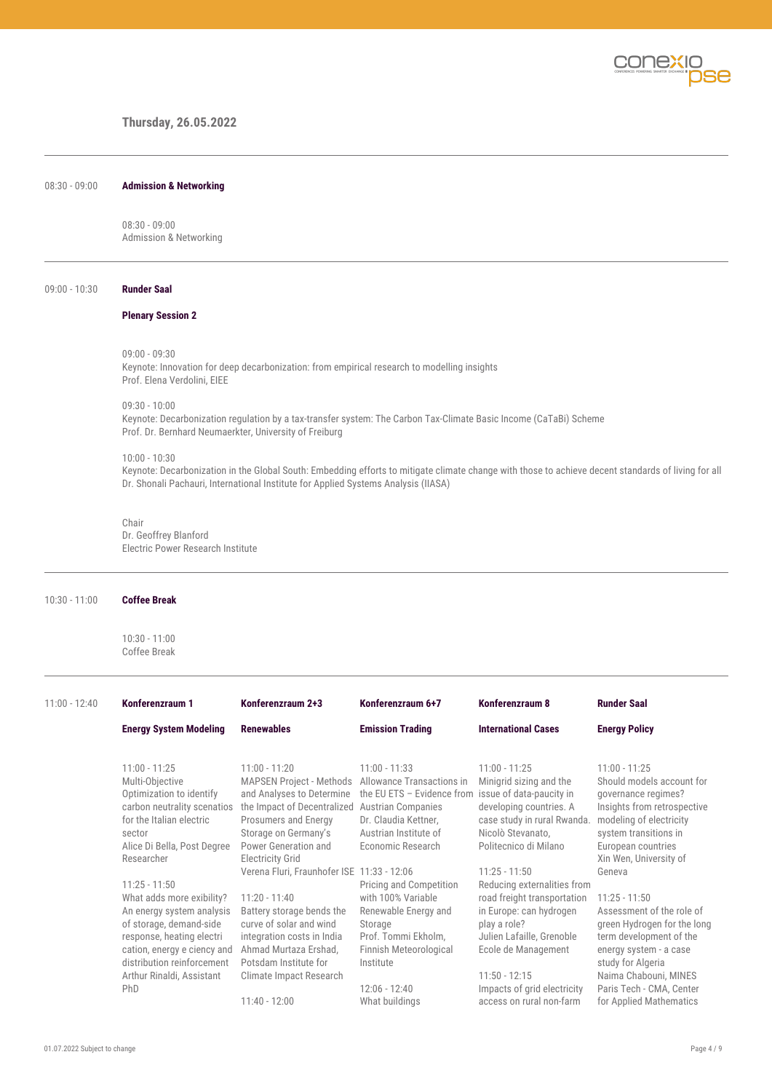

# **Thursday, 26.05.2022**

08:30 - 09:00 **Admission & Networking**

08:30 - 09:00 Admission & Networking

#### 09:00 - 10:30 **Runder Saal**

#### **Plenary Session 2**

09:00 - 09:30

Keynote: Innovation for deep decarbonization: from empirical research to modelling insights Prof. Elena Verdolini, EIEE

09:30 - 10:00

Keynote: Decarbonization regulation by a tax-transfer system: The Carbon Tax-Climate Basic Income (CaTaBi) Scheme Prof. Dr. Bernhard Neumaerkter, University of Freiburg

#### 10:00 - 10:30

Keynote: Decarbonization in the Global South: Embedding efforts to mitigate climate change with those to achieve decent standards of living for all Dr. Shonali Pachauri, International Institute for Applied Systems Analysis (IIASA)

### Chair

Dr. Geoffrey Blanford Electric Power Research Institute

#### 10:30 - 11:00 **Coffee Break**

10:30 - 11:00 Coffee Break

| $11:00 - 12:40$ | Konferenzraum 1                                                                                                                                                                                                                                                                                                                                                                                                        | Konferenzraum 2+3                                                                                                                                                                                                                                                                                                                                                                                                                                     | Konferenzraum 6+7                                                                                                                                                                                                                                                                                                                                                           | Konferenzraum 8                                                                                                                                                                                                                                                                                                                                                                                                  | <b>Runder Saal</b>                                                                                                                                                                                                                                                                                                                                                                                                             |
|-----------------|------------------------------------------------------------------------------------------------------------------------------------------------------------------------------------------------------------------------------------------------------------------------------------------------------------------------------------------------------------------------------------------------------------------------|-------------------------------------------------------------------------------------------------------------------------------------------------------------------------------------------------------------------------------------------------------------------------------------------------------------------------------------------------------------------------------------------------------------------------------------------------------|-----------------------------------------------------------------------------------------------------------------------------------------------------------------------------------------------------------------------------------------------------------------------------------------------------------------------------------------------------------------------------|------------------------------------------------------------------------------------------------------------------------------------------------------------------------------------------------------------------------------------------------------------------------------------------------------------------------------------------------------------------------------------------------------------------|--------------------------------------------------------------------------------------------------------------------------------------------------------------------------------------------------------------------------------------------------------------------------------------------------------------------------------------------------------------------------------------------------------------------------------|
|                 | <b>Energy System Modeling</b>                                                                                                                                                                                                                                                                                                                                                                                          | <b>Renewables</b>                                                                                                                                                                                                                                                                                                                                                                                                                                     | <b>Emission Trading</b>                                                                                                                                                                                                                                                                                                                                                     | <b>International Cases</b>                                                                                                                                                                                                                                                                                                                                                                                       | <b>Energy Policy</b>                                                                                                                                                                                                                                                                                                                                                                                                           |
|                 | $11:00 - 11:25$<br>Multi-Objective<br>Optimization to identify<br>carbon neutrality scenatios<br>for the Italian electric<br>sector<br>Alice Di Bella, Post Degree<br>Researcher<br>$11:25 - 11:50$<br>What adds more exibility?<br>An energy system analysis<br>of storage, demand-side<br>response, heating electri<br>cation, energy e ciency and<br>distribution reinforcement<br>Arthur Rinaldi, Assistant<br>PhD | $11:00 - 11:20$<br><b>MAPSEN Project - Methods</b><br>and Analyses to Determine<br>the Impact of Decentralized<br>Prosumers and Energy<br>Storage on Germany's<br>Power Generation and<br><b>Electricity Grid</b><br>Verena Fluri, Fraunhofer ISE 11:33 - 12:06<br>$11:20 - 11:40$<br>Battery storage bends the<br>curve of solar and wind<br>integration costs in India<br>Ahmad Murtaza Ershad,<br>Potsdam Institute for<br>Climate Impact Research | $11:00 - 11:33$<br>Allowance Transactions in<br>the EU ETS - Evidence from issue of data-paucity in<br><b>Austrian Companies</b><br>Dr. Claudia Kettner,<br>Austrian Institute of<br>Economic Research<br>Pricing and Competition<br>with 100% Variable<br>Renewable Energy and<br>Storage<br>Prof. Tommi Ekholm,<br>Finnish Meteorological<br>Institute<br>$12:06 - 12:40$ | $11:00 - 11:25$<br>Minigrid sizing and the<br>developing countries. A<br>case study in rural Rwanda.<br>Nicolò Stevanato,<br>Politecnico di Milano<br>$11:25 - 11:50$<br>Reducing externalities from<br>road freight transportation<br>in Europe: can hydrogen<br>play a role?<br>Julien Lafaille, Grenoble<br>Ecole de Management<br>$11:50 - 12:15$<br>Impacts of grid electricity<br>access on rural non-farm | $11:00 - 11:25$<br>Should models account for<br>governance regimes?<br>Insights from retrospective<br>modeling of electricity<br>system transitions in<br>European countries<br>Xin Wen, University of<br>Geneva<br>$11:25 - 11:50$<br>Assessment of the role of<br>green Hydrogen for the long<br>term development of the<br>energy system - a case<br>study for Algeria<br>Naima Chabouni, MINES<br>Paris Tech - CMA, Center |
|                 |                                                                                                                                                                                                                                                                                                                                                                                                                        | $11:40 - 12:00$                                                                                                                                                                                                                                                                                                                                                                                                                                       | What buildings                                                                                                                                                                                                                                                                                                                                                              |                                                                                                                                                                                                                                                                                                                                                                                                                  | for Applied Mathematics                                                                                                                                                                                                                                                                                                                                                                                                        |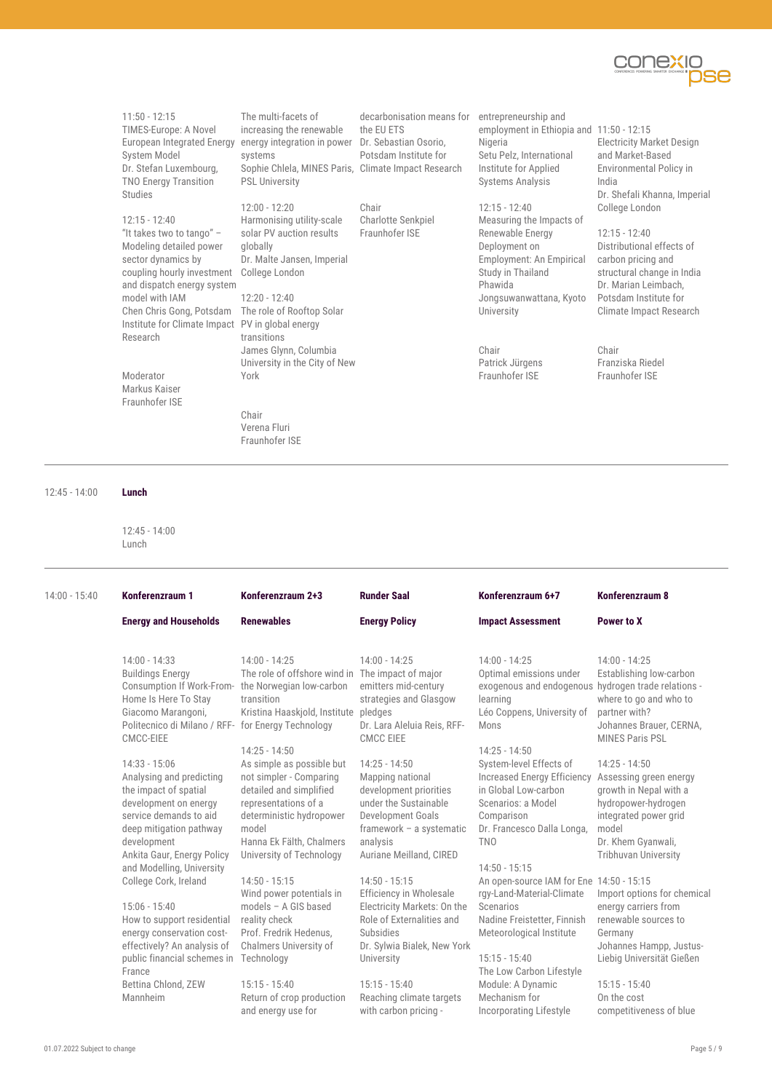

11:50 - 12:15 TIMES-Europe: A Novel European Integrated Energy energy integration in power System Model Dr. Stefan Luxembourg, TNO Energy Transition Studies

12:15 - 12:40 "It takes two to tango" – Modeling detailed power sector dynamics by coupling hourly investment College London and dispatch energy system model with IAM Chen Chris Gong, Potsdam The role of Rooftop Solar Institute for Climate Impact PV in global energy Research

Moderator Markus Kaiser Fraunhofer ISE

The multi-facets of increasing the renewable systems Sophie Chlela, MINES Paris, Climate Impact Research PSL University

12:00 - 12:20 Harmonising utility-scale solar PV auction results globally Dr. Malte Jansen, Imperial

# 12:20 - 12:40 transitions James Glynn, Columbia University in the City of New York

Chair Verena Fluri Fraunhofer ISE

decarbonisation means for Dr. Sebastian Osorio, Potsdam Institute for entrepreneurship and Nigeria Setu Pelz, International Institute for Applied Systems Analysis

the EU ETS

Chair

Charlotte Senkpiel Fraunhofer ISE

12:15 - 12:40 Measuring the Impacts of Renewable Energy Deployment on Employment: An Empirical Study in Thailand Phawida Jongsuwanwattana, Kyoto

> Chair Patrick Jürgens Fraunhofer ISE

University

employment in Ethiopia and 11:50 - 12:15 Electricity Market Design and Market-Based Environmental Policy in India Dr. Shefali Khanna, Imperial College London

> 12:15 - 12:40 Distributional effects of carbon pricing and structural change in India Dr. Marian Leimbach, Potsdam Institute for Climate Impact Research

Chair Franziska Riedel Fraunhofer ISE

12:45 - 14:00 **Lunch**

12:45 - 14:00 Lunch

| $14:00 - 15:40$ | Konferenzraum 1                                                                                                                                                                                                              | Konferenzraum 2+3                                                                                                                                                                                                       | <b>Runder Saal</b>                                                                                                                                                                  | Konferenzraum 6+7                                                                                                                                                                                                 | Konferenzraum 8                                                                                                                                                                   |
|-----------------|------------------------------------------------------------------------------------------------------------------------------------------------------------------------------------------------------------------------------|-------------------------------------------------------------------------------------------------------------------------------------------------------------------------------------------------------------------------|-------------------------------------------------------------------------------------------------------------------------------------------------------------------------------------|-------------------------------------------------------------------------------------------------------------------------------------------------------------------------------------------------------------------|-----------------------------------------------------------------------------------------------------------------------------------------------------------------------------------|
|                 | <b>Energy and Households</b>                                                                                                                                                                                                 | <b>Renewables</b>                                                                                                                                                                                                       | <b>Energy Policy</b>                                                                                                                                                                | <b>Impact Assessment</b>                                                                                                                                                                                          | Power to X                                                                                                                                                                        |
|                 | $14:00 - 14:33$<br><b>Buildings Energy</b><br>Consumption If Work-From-<br>Home Is Here To Stay<br>Giacomo Marangoni,<br>Politecnico di Milano / RFF-<br>CMCC-EIEE                                                           | $14:00 - 14:25$<br>The role of offshore wind in<br>the Norwegian low-carbon<br>transition<br>Kristina Haaskjold, Institute pledges<br>for Energy Technology                                                             | $14:00 - 14:25$<br>The impact of major<br>emitters mid-century<br>strategies and Glasgow<br>Dr. Lara Aleluia Reis, RFF-<br><b>CMCC EIEE</b>                                         | $14:00 - 14:25$<br>Optimal emissions under<br>exogenous and endogenous hydrogen trade relations -<br>learning<br>Léo Coppens, University of<br>Mons                                                               | $14:00 - 14:25$<br>Establishing low-carbon<br>where to go and who to<br>partner with?<br>Johannes Brauer, CERNA,<br><b>MINES Paris PSL</b>                                        |
|                 | $14:33 - 15:06$<br>Analysing and predicting<br>the impact of spatial<br>development on energy<br>service demands to aid<br>deep mitigation pathway<br>development<br>Ankita Gaur, Energy Policy<br>and Modelling, University | $14:25 - 14:50$<br>As simple as possible but<br>not simpler - Comparing<br>detailed and simplified<br>representations of a<br>deterministic hydropower<br>model<br>Hanna Ek Fälth, Chalmers<br>University of Technology | $14:25 - 14:50$<br>Mapping national<br>development priorities<br>under the Sustainable<br>Development Goals<br>framework - a systematic<br>analysis<br>Auriane Meilland, CIRED      | $14:25 - 14:50$<br>System-level Effects of<br><b>Increased Energy Efficiency</b><br>in Global Low-carbon<br>Scenarios: a Model<br>Comparison<br>Dr. Francesco Dalla Longa,<br><b>TNO</b><br>$14:50 - 15:15$       | $14:25 - 14:50$<br>Assessing green energy<br>growth in Nepal with a<br>hydropower-hydrogen<br>integrated power grid<br>model<br>Dr. Khem Gyanwali,<br><b>Tribhuvan University</b> |
|                 | College Cork, Ireland<br>$15:06 - 15:40$<br>How to support residential<br>energy conservation cost-<br>effectively? An analysis of<br>public financial schemes in<br>France<br>Bettina Chlond, ZEW                           | $14:50 - 15:15$<br>Wind power potentials in<br>models - A GIS based<br>reality check<br>Prof. Fredrik Hedenus,<br>Chalmers University of<br>Technology<br>$15:15 - 15:40$                                               | $14:50 - 15:15$<br>Efficiency in Wholesale<br>Electricity Markets: On the<br>Role of Externalities and<br>Subsidies<br>Dr. Sylwia Bialek, New York<br>University<br>$15:15 - 15:40$ | An open-source IAM for Ene 14:50 - 15:15<br>rgy-Land-Material-Climate<br>Scenarios<br>Nadine Freistetter, Finnish<br>Meteorological Institute<br>$15:15 - 15:40$<br>The Low Carbon Lifestyle<br>Module: A Dynamic | Import options for chemical<br>energy carriers from<br>renewable sources to<br>Germany<br>Johannes Hampp, Justus-<br>Liebig Universität Gießen<br>$15:15 - 15:40$                 |
|                 | Mannheim                                                                                                                                                                                                                     | Return of crop production<br>and energy use for                                                                                                                                                                         | Reaching climate targets<br>with carbon pricing -                                                                                                                                   | Mechanism for<br>Incorporating Lifestyle                                                                                                                                                                          | On the cost<br>competitiveness of blue                                                                                                                                            |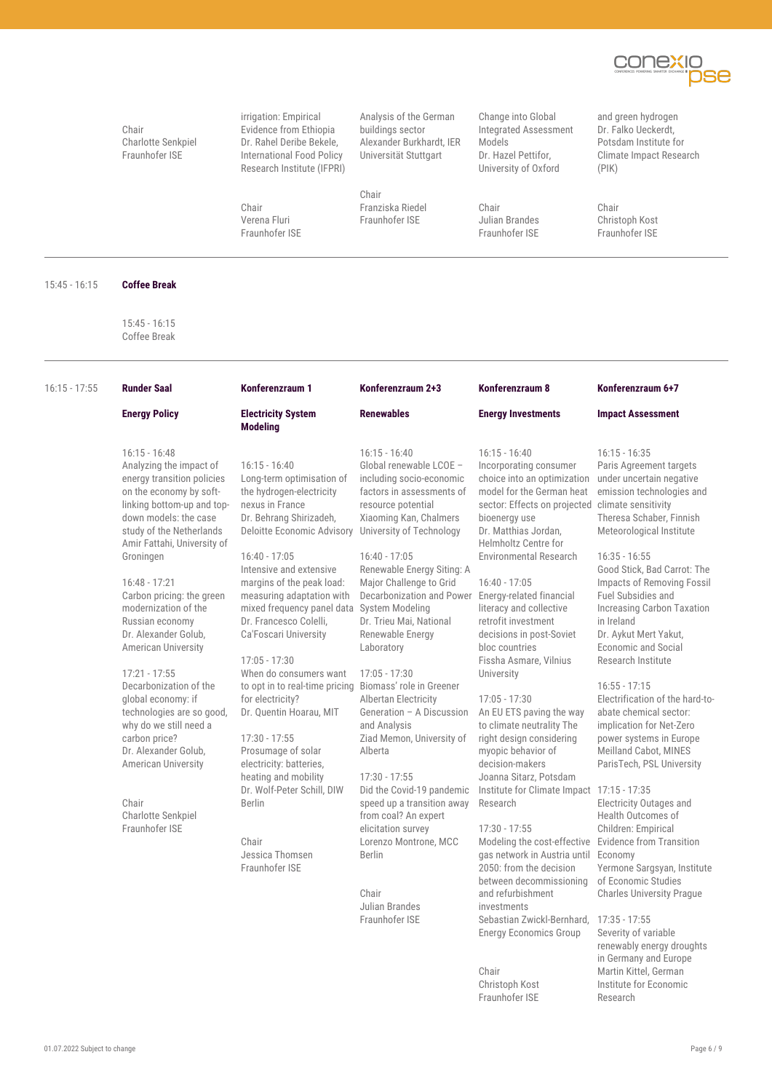

Chair Charlotte Senkpiel Fraunhofer ISE

irrigation: Empirical Evidence from Ethiopia Dr. Rahel Deribe Bekele, International Food Policy Research Institute (IFPRI)

Chair Verena Fluri Fraunhofer ISE

Analysis of the German buildings sector Alexander Burkhardt, IER Universität Stuttgart

Chair Franziska Riedel Fraunhofer ISE

Change into Global Integrated Assessment Models Dr. Hazel Pettifor, University of Oxford

Chair Julian Brandes Fraunhofer ISE

and green hydrogen Dr. Falko Ueckerdt, Potsdam Institute for Climate Impact Research (PIK)

Chair Christoph Kost Fraunhofer ISE

15:45 - 16:15 **Coffee Break**

15:45 - 16:15 Coffee Break

| $16:15 - 17:55$ | <b>Runder Saal</b>                                                                                                                                                                                                                 | Konferenzraum 1                                                                                                                                                                                                              | Konferenzraum 2+3                                                                                                                                                      | Konferenzraum 8                                                                                                                                                                                                                                             | Konferenzraum 6+7                                                                                                                                                                                        |
|-----------------|------------------------------------------------------------------------------------------------------------------------------------------------------------------------------------------------------------------------------------|------------------------------------------------------------------------------------------------------------------------------------------------------------------------------------------------------------------------------|------------------------------------------------------------------------------------------------------------------------------------------------------------------------|-------------------------------------------------------------------------------------------------------------------------------------------------------------------------------------------------------------------------------------------------------------|----------------------------------------------------------------------------------------------------------------------------------------------------------------------------------------------------------|
|                 | <b>Energy Policy</b>                                                                                                                                                                                                               | <b>Electricity System</b>                                                                                                                                                                                                    | <b>Renewables</b>                                                                                                                                                      | <b>Energy Investments</b>                                                                                                                                                                                                                                   | <b>Impact Assessment</b>                                                                                                                                                                                 |
|                 |                                                                                                                                                                                                                                    | <b>Modeling</b>                                                                                                                                                                                                              |                                                                                                                                                                        |                                                                                                                                                                                                                                                             |                                                                                                                                                                                                          |
|                 | $16:15 - 16:48$<br>Analyzing the impact of<br>energy transition policies<br>on the economy by soft-<br>linking bottom-up and top-<br>down models: the case<br>study of the Netherlands<br>Amir Fattahi, University of<br>Groningen | $16:15 - 16:40$<br>Long-term optimisation of<br>the hydrogen-electricity<br>nexus in France<br>Dr. Behrang Shirizadeh,<br>Deloitte Economic Advisory University of Technology<br>$16:40 - 17:05$                             | $16:15 - 16:40$<br>Global renewable LCOE -<br>including socio-economic<br>factors in assessments of<br>resource potential<br>Xiaoming Kan, Chalmers<br>$16:40 - 17:05$ | $16:15 - 16:40$<br>Incorporating consumer<br>choice into an optimization<br>model for the German heat<br>sector: Effects on projected climate sensitivity<br>bioenergy use<br>Dr. Matthias Jordan.<br>Helmholtz Centre for<br><b>Environmental Research</b> | $16:15 - 16:35$<br>Paris Agreement targets<br>under uncertain negative<br>emission technologies and<br>Theresa Schaber, Finnish<br>Meteorological Institute<br>$16:35 - 16:55$                           |
|                 | $16:48 - 17:21$<br>Carbon pricing: the green<br>modernization of the<br>Russian economy<br>Dr. Alexander Golub,<br><b>American University</b>                                                                                      | Intensive and extensive<br>margins of the peak load:<br>measuring adaptation with<br>mixed frequency panel data System Modeling<br>Dr. Francesco Colelli.<br>Ca'Foscari University<br>$17:05 - 17:30$                        | Renewable Energy Siting: A<br>Major Challenge to Grid<br>Decarbonization and Power<br>Dr. Trieu Mai, National<br>Renewable Energy<br>Laboratory                        | $16:40 - 17:05$<br>Energy-related financial<br>literacy and collective<br>retrofit investment<br>decisions in post-Soviet<br>bloc countries<br>Fissha Asmare, Vilnius                                                                                       | Good Stick, Bad Carrot: The<br>Impacts of Removing Fossil<br>Fuel Subsidies and<br><b>Increasing Carbon Taxation</b><br>in Ireland<br>Dr. Aykut Mert Yakut,<br>Economic and Social<br>Research Institute |
|                 | $17:21 - 17:55$<br>Decarbonization of the<br>global economy: if<br>technologies are so good,<br>why do we still need a<br>carbon price?<br>Dr. Alexander Golub,<br>American University                                             | When do consumers want<br>to opt in to real-time pricing Biomass' role in Greener<br>for electricity?<br>Dr. Quentin Hoarau, MIT<br>$17:30 - 17:55$<br>Prosumage of solar<br>electricity: batteries,<br>heating and mobility | $17:05 - 17:30$<br>Albertan Electricity<br>Generation - A Discussion<br>and Analysis<br>Ziad Memon, University of<br>Alberta<br>$17:30 - 17:55$                        | University<br>$17:05 - 17:30$<br>An EU ETS paving the way<br>to climate neutrality The<br>right design considering<br>myopic behavior of<br>decision-makers<br>Joanna Sitarz, Potsdam                                                                       | $16:55 - 17:15$<br>Electrification of the hard-to-<br>abate chemical sector:<br>implication for Net-Zero<br>power systems in Europe<br>Meilland Cabot, MINES<br>ParisTech, PSL University                |
|                 | Chair<br>Charlotte Senkpiel<br>Fraunhofer ISE                                                                                                                                                                                      | Dr. Wolf-Peter Schill, DIW<br><b>Berlin</b><br>Chair<br>Jessica Thomsen<br>Fraunhofer ISE                                                                                                                                    | Did the Covid-19 pandemic<br>speed up a transition away<br>from coal? An expert<br>elicitation survey<br>Lorenzo Montrone, MCC<br><b>Berlin</b><br>Chair               | Institute for Climate Impact 17:15 - 17:35<br>Research<br>$17:30 - 17:55$<br>Modeling the cost-effective Evidence from Transition<br>gas network in Austria until Economy<br>2050: from the decision<br>between decommissioning<br>and refurbishment        | <b>Electricity Outages and</b><br>Health Outcomes of<br>Children: Empirical<br>Yermone Sargsyan, Institute<br>of Economic Studies<br><b>Charles University Prague</b>                                    |

Julian Brandes Fraunhofer ISE investments

Chair Christoph Kost Fraunhofer ISE

Energy Economics Group

Sebastian Zwickl-Bernhard, 17:35 - 17:55 Severity of variable renewably energy droughts in Germany and Europe Martin Kittel, German Institute for Economic Research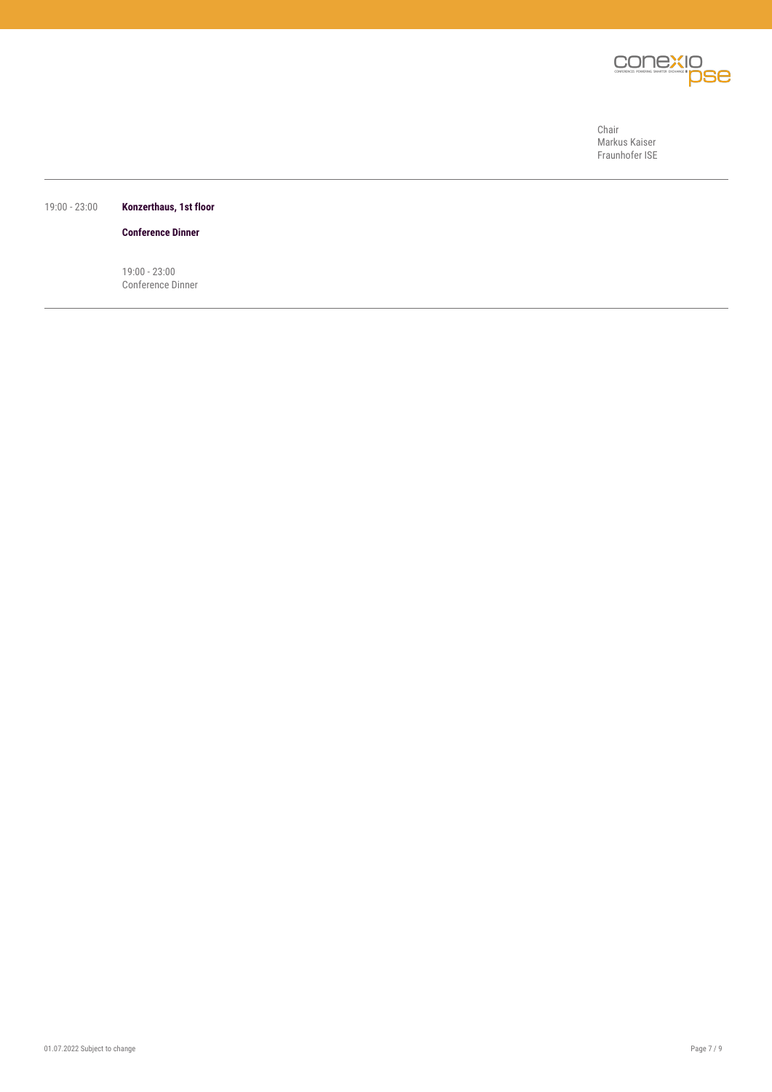

Chair Markus Kaiser Fraunhofer ISE

### 19:00 - 23:00 **Konzerthaus, 1st floor**

**Conference Dinner**

19:00 - 23:00 Conference Dinner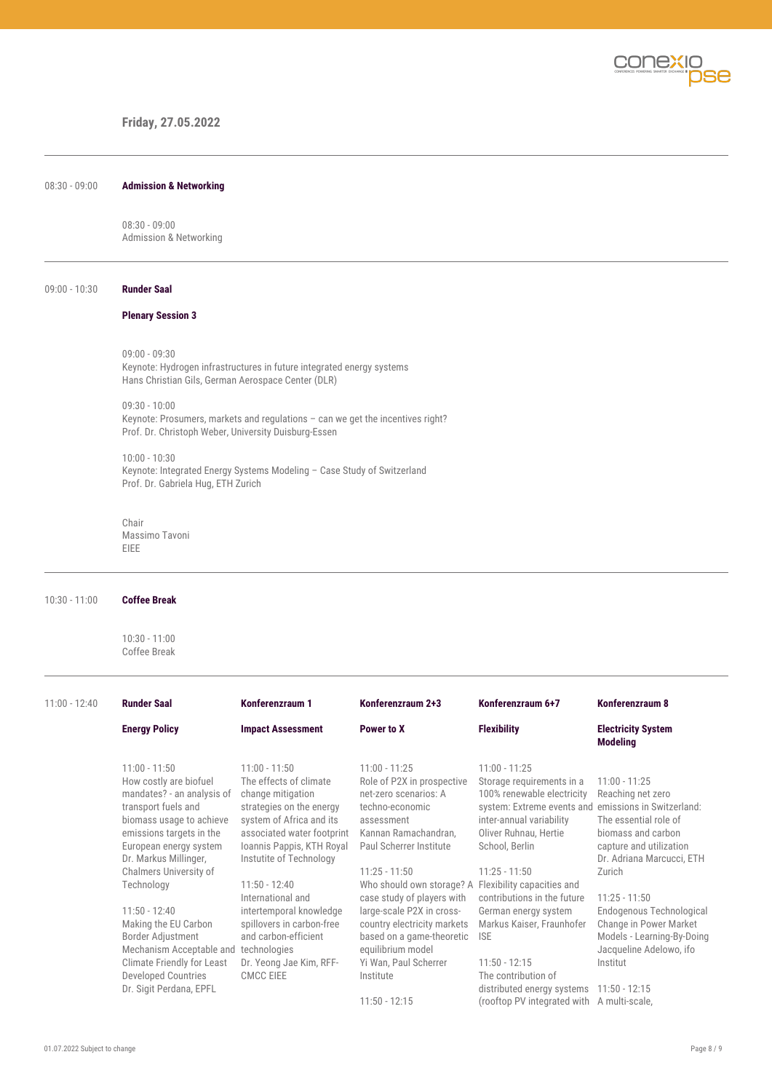

# **Friday, 27.05.2022**

| $08:30 - 09:00$ | <b>Admission &amp; Networking</b> |
|-----------------|-----------------------------------|
|-----------------|-----------------------------------|

08:30 - 09:00 Admission & Networking

#### 09:00 - 10:30 **Runder Saal**

## **Plenary Session 3**

09:00 - 09:30 Keynote: Hydrogen infrastructures in future integrated energy systems Hans Christian Gils, German Aerospace Center (DLR)

09:30 - 10:00 Keynote: Prosumers, markets and regulations – can we get the incentives right? Prof. Dr. Christoph Weber, University Duisburg-Essen

10:00 - 10:30 Keynote: Integrated Energy Systems Modeling – Case Study of Switzerland Prof. Dr. Gabriela Hug, ETH Zurich

Chair Massimo Tavoni EIEE

#### 10:30 - 11:00 **Coffee Break**

10:30 - 11:00 Coffee Break

| $11:00 - 12:40$ | <b>Runder Saal</b>                                                                                                                                                                                                                  | Konferenzraum 1                                                                                                                                                                                              | Konferenzraum 2+3                                                                                                                                                                                                              | Konferenzraum 6+7                                                                                                                                                                                                                   | Konferenzraum 8                                                                                                                                                                 |
|-----------------|-------------------------------------------------------------------------------------------------------------------------------------------------------------------------------------------------------------------------------------|--------------------------------------------------------------------------------------------------------------------------------------------------------------------------------------------------------------|--------------------------------------------------------------------------------------------------------------------------------------------------------------------------------------------------------------------------------|-------------------------------------------------------------------------------------------------------------------------------------------------------------------------------------------------------------------------------------|---------------------------------------------------------------------------------------------------------------------------------------------------------------------------------|
|                 | <b>Energy Policy</b>                                                                                                                                                                                                                | <b>Impact Assessment</b>                                                                                                                                                                                     | Power to X                                                                                                                                                                                                                     | <b>Flexibility</b>                                                                                                                                                                                                                  | <b>Electricity System</b><br><b>Modeling</b>                                                                                                                                    |
|                 | $11:00 - 11:50$<br>How costly are biofuel<br>mandates? - an analysis of<br>transport fuels and<br>biomass usage to achieve<br>emissions targets in the<br>European energy system<br>Dr. Markus Millinger,<br>Chalmers University of | $11:00 - 11:50$<br>The effects of climate<br>change mitigation<br>strategies on the energy<br>system of Africa and its<br>associated water footprint<br>Ioannis Pappis, KTH Royal<br>Instutite of Technology | $11:00 - 11:25$<br>Role of P2X in prospective<br>net-zero scenarios: A<br>techno-economic<br>assessment<br>Kannan Ramachandran,<br>Paul Scherrer Institute<br>$11:25 - 11:50$                                                  | $11:00 - 11:25$<br>Storage requirements in a<br>100% renewable electricity<br>system: Extreme events and emissions in Switzerland:<br>inter-annual variability<br>Oliver Ruhnau, Hertie<br>School, Berlin<br>$11:25 - 11:50$        | $11:00 - 11:25$<br>Reaching net zero<br>The essential role of<br>biomass and carbon<br>capture and utilization<br>Dr. Adriana Marcucci, ETH<br>Zurich                           |
|                 | Technology<br>$11:50 - 12:40$<br>Making the EU Carbon<br>Border Adjustment<br>Mechanism Acceptable and<br><b>Climate Friendly for Least</b><br>Developed Countries<br>Dr. Sigit Perdana, EPFL                                       | $11:50 - 12:40$<br>International and<br>intertemporal knowledge<br>spillovers in carbon-free<br>and carbon-efficient<br>technologies<br>Dr. Yeong Jae Kim, RFF-<br><b>CMCC EIEE</b>                          | Who should own storage? A<br>case study of players with<br>large-scale P2X in cross-<br>country electricity markets<br>based on a game-theoretic<br>equilibrium model<br>Yi Wan, Paul Scherrer<br>Institute<br>$11:50 - 12:15$ | Flexibility capacities and<br>contributions in the future<br>German energy system<br>Markus Kaiser, Fraunhofer<br><b>ISE</b><br>$11:50 - 12:15$<br>The contribution of<br>distributed energy systems<br>(rooftop PV integrated with | $11:25 - 11:50$<br>Endogenous Technological<br>Change in Power Market<br>Models - Learning-By-Doing<br>Jacqueline Adelowo, ifo<br>Institut<br>$11:50 - 12:15$<br>A multi-scale, |